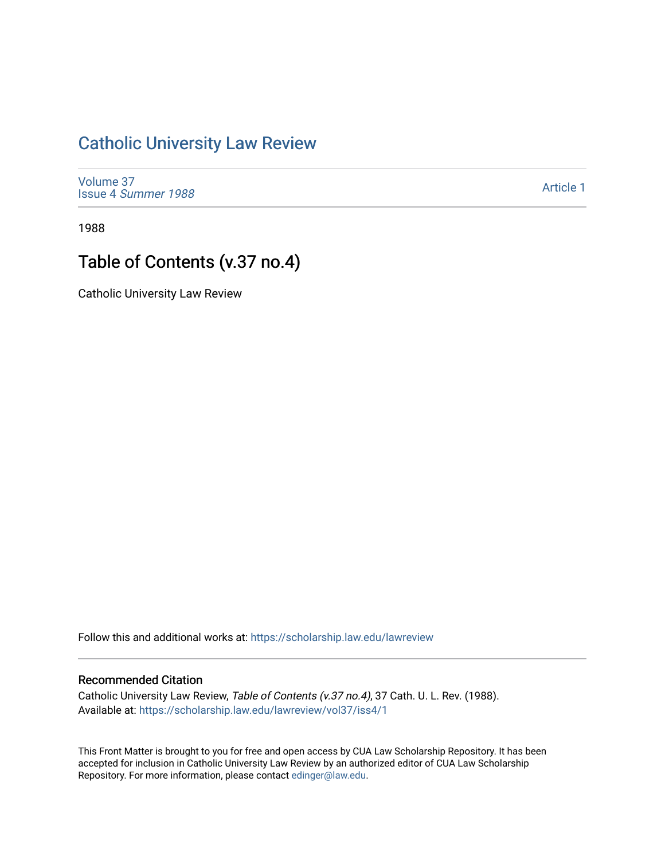## [Catholic University Law Review](https://scholarship.law.edu/lawreview)

[Volume 37](https://scholarship.law.edu/lawreview/vol37) Issue 4 [Summer 1988](https://scholarship.law.edu/lawreview/vol37/iss4) 

[Article 1](https://scholarship.law.edu/lawreview/vol37/iss4/1) 

1988

## Table of Contents (v.37 no.4)

Catholic University Law Review

Follow this and additional works at: [https://scholarship.law.edu/lawreview](https://scholarship.law.edu/lawreview?utm_source=scholarship.law.edu%2Flawreview%2Fvol37%2Fiss4%2F1&utm_medium=PDF&utm_campaign=PDFCoverPages)

## Recommended Citation

Catholic University Law Review, Table of Contents (v.37 no.4), 37 Cath. U. L. Rev. (1988). Available at: [https://scholarship.law.edu/lawreview/vol37/iss4/1](https://scholarship.law.edu/lawreview/vol37/iss4/1?utm_source=scholarship.law.edu%2Flawreview%2Fvol37%2Fiss4%2F1&utm_medium=PDF&utm_campaign=PDFCoverPages)

This Front Matter is brought to you for free and open access by CUA Law Scholarship Repository. It has been accepted for inclusion in Catholic University Law Review by an authorized editor of CUA Law Scholarship Repository. For more information, please contact [edinger@law.edu.](mailto:edinger@law.edu)